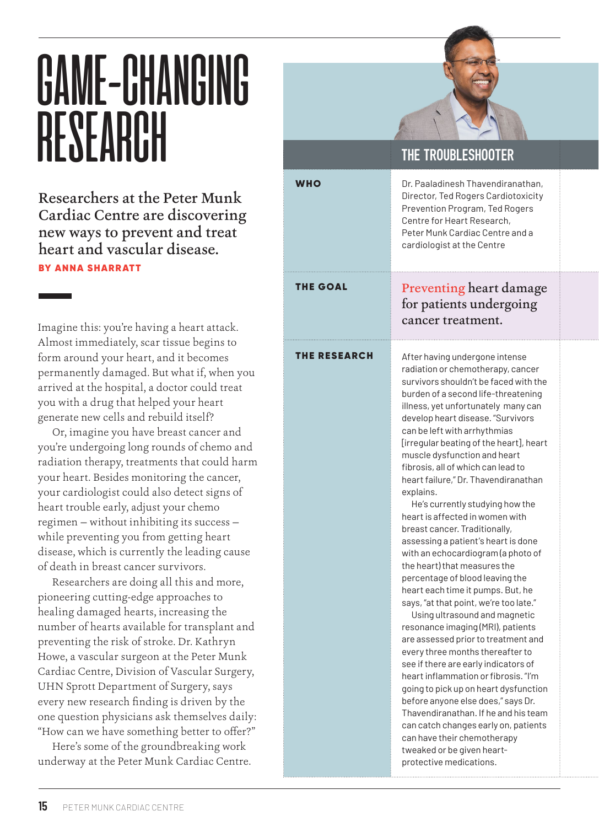## GAME-CHANGING **RESEARCH**

Researchers at the Peter Munk Cardiac Centre are discovering new ways to prevent and treat heart and vascular disease.

BY ANNA SHARRATT

Imagine this: you're having a heart attack. Almost immediately, scar tissue begins to form around your heart, and it becomes permanently damaged. But what if, when you arrived at the hospital, a doctor could treat you with a drug that helped your heart generate new cells and rebuild itself?

Or, imagine you have breast cancer and you're undergoing long rounds of chemo and radiation therapy, treatments that could harm your heart. Besides monitoring the cancer, your cardiologist could also detect signs of heart trouble early, adjust your chemo regimen — without inhibiting its success while preventing you from getting heart disease, which is currently the leading cause of death in breast cancer survivors.

Researchers are doing all this and more, pioneering cutting-edge approaches to healing damaged hearts, increasing the number of hearts available for transplant and preventing the risk of stroke. Dr. Kathryn Howe, a vascular surgeon at the Peter Munk Cardiac Centre, Division of Vascular Surgery, UHN Sprott Department of Surgery, says every new research finding is driven by the one question physicians ask themselves daily: "How can we have something better to offer?"

Here's some of the groundbreaking work underway at the Peter Munk Cardiac Centre.